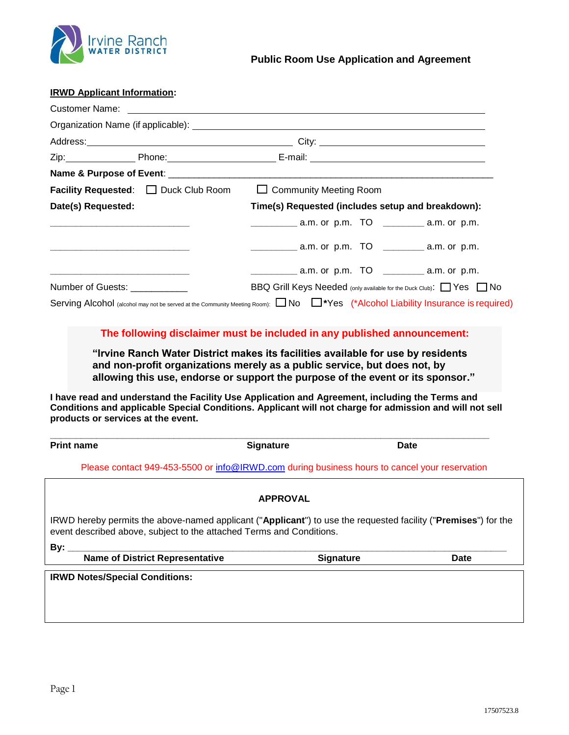

### **IRWD Applicant Information:**

|                                                                                                                        | <b>Facility Requested:</b> Duck Club Room | $\Box$ Community Meeting Room                                                                                                   |  |  |
|------------------------------------------------------------------------------------------------------------------------|-------------------------------------------|---------------------------------------------------------------------------------------------------------------------------------|--|--|
| Date(s) Requested:                                                                                                     |                                           | Time(s) Requested (includes setup and breakdown):                                                                               |  |  |
| <u> La componenta de la componenta de la componenta de la componenta de la componenta de la componenta de la compo</u> |                                           |                                                                                                                                 |  |  |
|                                                                                                                        |                                           | $\frac{1}{2}$ a.m. or p.m. TO $\frac{1}{2}$ a.m. or p.m.                                                                        |  |  |
| and the state of the state of the state of the state of the state of the state of the state of the state of the        |                                           | $\frac{1}{2}$ a.m. or p.m. TO $\frac{1}{2}$ a.m. or p.m.                                                                        |  |  |
| Number of Guests: ___________                                                                                          |                                           | BBQ Grill Keys Needed (only available for the Duck Club): Nes No                                                                |  |  |
|                                                                                                                        |                                           | Serving Alcohol (alcohol may not be served at the Community Meeting Room): No   *Yes (*Alcohol Liability Insurance is required) |  |  |

# **The following disclaimer must be included in any published announcement:**

**"Irvine Ranch Water District makes its facilities available for use by residents and non-profit organizations merely as a public service, but does not, by allowing this use, endorse or support the purpose of the event or its sponsor."**

**I have read and understand the Facility Use Application and Agreement, including the Terms and Conditions and applicable Special Conditions. Applicant will not charge for admission and will not sell products or services at the event.**

| <b>Print name</b>                                                                                                                                                                      | <b>Signature</b> | <b>Date</b>      |             |
|----------------------------------------------------------------------------------------------------------------------------------------------------------------------------------------|------------------|------------------|-------------|
| Please contact 949-453-5500 or info@IRWD.com during business hours to cancel your reservation                                                                                          |                  |                  |             |
|                                                                                                                                                                                        | <b>APPROVAL</b>  |                  |             |
| IRWD hereby permits the above-named applicant ("Applicant") to use the requested facility ("Premises") for the<br>event described above, subject to the attached Terms and Conditions. |                  |                  |             |
| By:                                                                                                                                                                                    |                  |                  |             |
| <b>Name of District Representative</b>                                                                                                                                                 |                  | <b>Signature</b> | <b>Date</b> |
| <b>IRWD Notes/Special Conditions:</b>                                                                                                                                                  |                  |                  |             |
|                                                                                                                                                                                        |                  |                  |             |
|                                                                                                                                                                                        |                  |                  |             |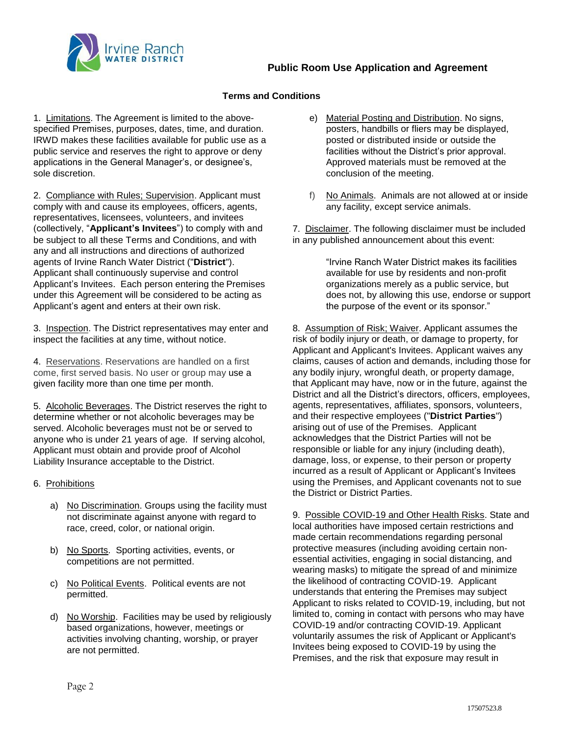

### **Terms and Conditions**

1. Limitations. The Agreement is limited to the abovespecified Premises, purposes, dates, time, and duration. IRWD makes these facilities available for public use as a public service and reserves the right to approve or deny applications in the General Manager's, or designee's, sole discretion.

2. Compliance with Rules; Supervision. Applicant must comply with and cause its employees, officers, agents, representatives, licensees, volunteers, and invitees (collectively, "**Applicant's Invitees**") to comply with and be subject to all these Terms and Conditions, and with any and all instructions and directions of authorized agents of Irvine Ranch Water District ("**District**"). Applicant shall continuously supervise and control Applicant's Invitees. Each person entering the Premises under this Agreement will be considered to be acting as Applicant's agent and enters at their own risk.

3. Inspection. The District representatives may enter and inspect the facilities at any time, without notice.

4. Reservations. Reservations are handled on a first come, first served basis. No user or group may use a given facility more than one time per month.

5. Alcoholic Beverages. The District reserves the right to determine whether or not alcoholic beverages may be served. Alcoholic beverages must not be or served to anyone who is under 21 years of age. If serving alcohol, Applicant must obtain and provide proof of Alcohol Liability Insurance acceptable to the District.

- 6. Prohibitions
	- a) No Discrimination. Groups using the facility must not discriminate against anyone with regard to race, creed, color, or national origin.
	- b) No Sports. Sporting activities, events, or competitions are not permitted.
	- c) No Political Events. Political events are not permitted.
	- d) No Worship. Facilities may be used by religiously based organizations, however, meetings or activities involving chanting, worship, or prayer are not permitted.
- e) Material Posting and Distribution. No signs, posters, handbills or fliers may be displayed, posted or distributed inside or outside the facilities without the District's prior approval. Approved materials must be removed at the conclusion of the meeting.
- f) No Animals. Animals are not allowed at or inside any facility, except service animals.

7. Disclaimer. The following disclaimer must be included in any published announcement about this event:

> "Irvine Ranch Water District makes its facilities available for use by residents and non-profit organizations merely as a public service, but does not, by allowing this use, endorse or support the purpose of the event or its sponsor."

8. Assumption of Risk; Waiver. Applicant assumes the risk of bodily injury or death, or damage to property, for Applicant and Applicant's Invitees. Applicant waives any claims, causes of action and demands, including those for any bodily injury, wrongful death, or property damage, that Applicant may have, now or in the future, against the District and all the District's directors, officers, employees, agents, representatives, affiliates, sponsors, volunteers, and their respective employees ("**District Parties**") arising out of use of the Premises. Applicant acknowledges that the District Parties will not be responsible or liable for any injury (including death), damage, loss, or expense, to their person or property incurred as a result of Applicant or Applicant's Invitees using the Premises, and Applicant covenants not to sue the District or District Parties.

9. Possible COVID-19 and Other Health Risks. State and local authorities have imposed certain restrictions and made certain recommendations regarding personal protective measures (including avoiding certain nonessential activities, engaging in social distancing, and wearing masks) to mitigate the spread of and minimize the likelihood of contracting COVID-19. Applicant understands that entering the Premises may subject Applicant to risks related to COVID-19, including, but not limited to, coming in contact with persons who may have COVID-19 and/or contracting COVID-19. Applicant voluntarily assumes the risk of Applicant or Applicant's Invitees being exposed to COVID-19 by using the Premises, and the risk that exposure may result in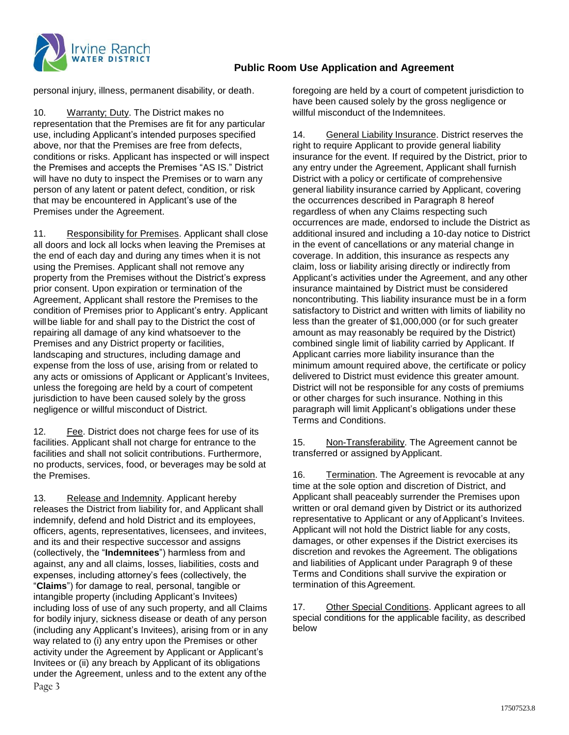

# **Public Room Use Application and Agreement**

personal injury, illness, permanent disability, or death.

10. Warranty; Duty. The District makes no representation that the Premises are fit for any particular use, including Applicant's intended purposes specified above, nor that the Premises are free from defects, conditions or risks. Applicant has inspected or will inspect the Premises and accepts the Premises "AS IS." District will have no duty to inspect the Premises or to warn any person of any latent or patent defect, condition, or risk that may be encountered in Applicant's use of the Premises under the Agreement.

11. Responsibility for Premises. Applicant shall close all doors and lock all locks when leaving the Premises at the end of each day and during any times when it is not using the Premises. Applicant shall not remove any property from the Premises without the District's express prior consent. Upon expiration or termination of the Agreement, Applicant shall restore the Premises to the condition of Premises prior to Applicant's entry. Applicant willbe liable for and shall pay to the District the cost of repairing all damage of any kind whatsoever to the Premises and any District property or facilities, landscaping and structures, including damage and expense from the loss of use, arising from or related to any acts or omissions of Applicant or Applicant's Invitees, unless the foregoing are held by a court of competent jurisdiction to have been caused solely by the gross negligence or willful misconduct of District.

12. Fee. District does not charge fees for use of its facilities. Applicant shall not charge for entrance to the facilities and shall not solicit contributions. Furthermore, no products, services, food, or beverages may be sold at the Premises.

Page 3 13. Release and Indemnity. Applicant hereby releases the District from liability for, and Applicant shall indemnify, defend and hold District and its employees, officers, agents, representatives, licensees, and invitees, and its and their respective successor and assigns (collectively, the "**Indemnitees**") harmless from and against, any and all claims, losses, liabilities, costs and expenses, including attorney's fees (collectively, the "**Claims**") for damage to real, personal, tangible or intangible property (including Applicant's Invitees) including loss of use of any such property, and all Claims for bodily injury, sickness disease or death of any person (including any Applicant's Invitees), arising from or in any way related to (i) any entry upon the Premises or other activity under the Agreement by Applicant or Applicant's Invitees or (ii) any breach by Applicant of its obligations under the Agreement, unless and to the extent any of the

foregoing are held by a court of competent jurisdiction to have been caused solely by the gross negligence or willful misconduct of the Indemnitees.

14. General Liability Insurance. District reserves the right to require Applicant to provide general liability insurance for the event. If required by the District, prior to any entry under the Agreement, Applicant shall furnish District with a policy or certificate of comprehensive general liability insurance carried by Applicant, covering the occurrences described in Paragraph 8 hereof regardless of when any Claims respecting such occurrences are made, endorsed to include the District as additional insured and including a 10-day notice to District in the event of cancellations or any material change in coverage. In addition, this insurance as respects any claim, loss or liability arising directly or indirectly from Applicant's activities under the Agreement, and any other insurance maintained by District must be considered noncontributing. This liability insurance must be in a form satisfactory to District and written with limits of liability no less than the greater of \$1,000,000 (or for such greater amount as may reasonably be required by the District) combined single limit of liability carried by Applicant. If Applicant carries more liability insurance than the minimum amount required above, the certificate or policy delivered to District must evidence this greater amount. District will not be responsible for any costs of premiums or other charges for such insurance. Nothing in this paragraph will limit Applicant's obligations under these Terms and Conditions.

15. Non-Transferability. The Agreement cannot be transferred or assigned byApplicant.

16. Termination. The Agreement is revocable at any time at the sole option and discretion of District, and Applicant shall peaceably surrender the Premises upon written or oral demand given by District or its authorized representative to Applicant or any of Applicant's Invitees. Applicant will not hold the District liable for any costs, damages, or other expenses if the District exercises its discretion and revokes the Agreement. The obligations and liabilities of Applicant under Paragraph 9 of these Terms and Conditions shall survive the expiration or termination of this Agreement.

17. Other Special Conditions. Applicant agrees to all special conditions for the applicable facility, as described below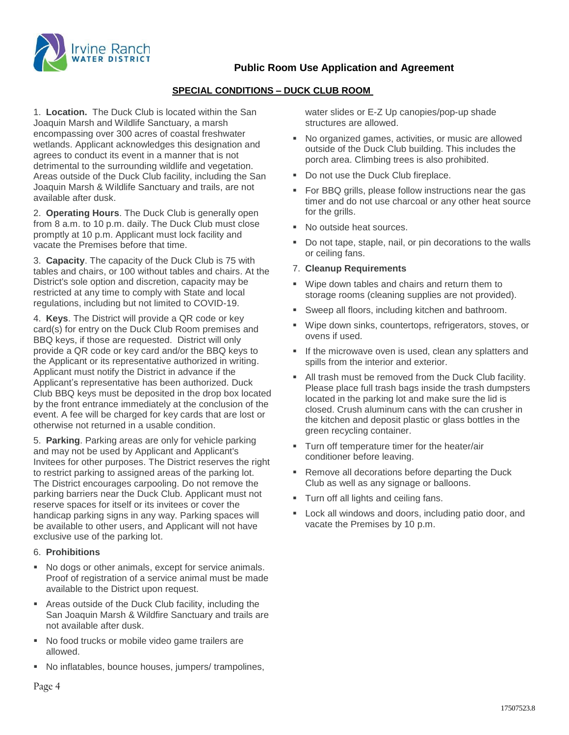

**Public Room Use Application and Agreement**

# **SPECIAL CONDITIONS – DUCK CLUB ROOM**

1. **Location.** The Duck Club is located within the San Joaquin Marsh and Wildlife Sanctuary, a marsh encompassing over 300 acres of coastal freshwater wetlands. Applicant acknowledges this designation and agrees to conduct its event in a manner that is not detrimental to the surrounding wildlife and vegetation. Areas outside of the Duck Club facility, including the San Joaquin Marsh & Wildlife Sanctuary and trails, are not available after dusk.

2. **Operating Hours**. The Duck Club is generally open from 8 a.m. to 10 p.m. daily. The Duck Club must close promptly at 10 p.m. Applicant must lock facility and vacate the Premises before that time.

3. **Capacity**. The capacity of the Duck Club is 75 with tables and chairs, or 100 without tables and chairs. At the District's sole option and discretion, capacity may be restricted at any time to comply with State and local regulations, including but not limited to COVID-19.

4. **Keys**. The District will provide a QR code or key card(s) for entry on the Duck Club Room premises and BBQ keys, if those are requested. District will only provide a QR code or key card and/or the BBQ keys to the Applicant or its representative authorized in writing. Applicant must notify the District in advance if the Applicant's representative has been authorized. Duck Club BBQ keys must be deposited in the drop box located by the front entrance immediately at the conclusion of the event. A fee will be charged for key cards that are lost or otherwise not returned in a usable condition.

5. **Parking**. Parking areas are only for vehicle parking and may not be used by Applicant and Applicant's Invitees for other purposes. The District reserves the right to restrict parking to assigned areas of the parking lot. The District encourages carpooling. Do not remove the parking barriers near the Duck Club. Applicant must not reserve spaces for itself or its invitees or cover the handicap parking signs in any way. Parking spaces will be available to other users, and Applicant will not have exclusive use of the parking lot.

#### 6. **Prohibitions**

- No dogs or other animals, except for service animals. Proof of registration of a service animal must be made available to the District upon request.
- Areas outside of the Duck Club facility, including the San Joaquin Marsh & Wildfire Sanctuary and trails are not available after dusk.
- No food trucks or mobile video game trailers are allowed.
- No inflatables, bounce houses, jumpers/ trampolines,

water slides or E-Z Up canopies/pop-up shade structures are allowed.

- No organized games, activities, or music are allowed outside of the Duck Club building. This includes the porch area. Climbing trees is also prohibited.
- Do not use the Duck Club fireplace.
- For BBQ grills, please follow instructions near the gas timer and do not use charcoal or any other heat source for the grills.
- No outside heat sources.
- Do not tape, staple, nail, or pin decorations to the walls or ceiling fans.

### 7. **Cleanup Requirements**

- Wipe down tables and chairs and return them to storage rooms (cleaning supplies are not provided).
- Sweep all floors, including kitchen and bathroom.
- Wipe down sinks, countertops, refrigerators, stoves, or ovens if used.
- If the microwave oven is used, clean any splatters and spills from the interior and exterior.
- All trash must be removed from the Duck Club facility. Please place full trash bags inside the trash dumpsters located in the parking lot and make sure the lid is closed. Crush aluminum cans with the can crusher in the kitchen and deposit plastic or glass bottles in the green recycling container.
- **Turn off temperature timer for the heater/air** conditioner before leaving.
- Remove all decorations before departing the Duck Club as well as any signage or balloons.
- Turn off all lights and ceiling fans.
- **Lock all windows and doors, including patio door, and** vacate the Premises by 10 p.m.